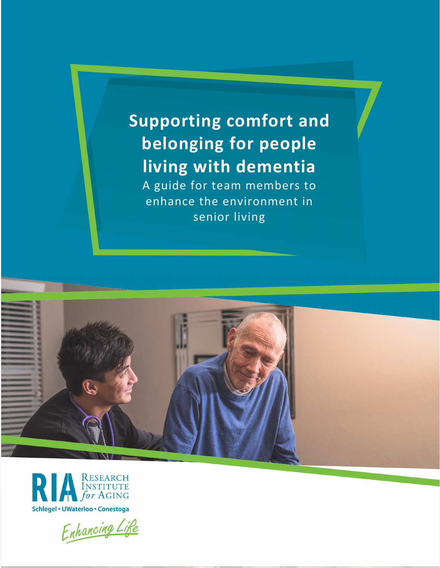# **Supporting comfort and belonging for people living with dementia**

A guide for team members to enhance the environment in senior living





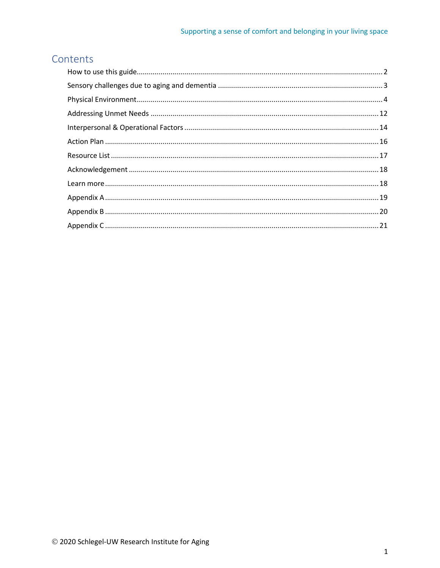# Contents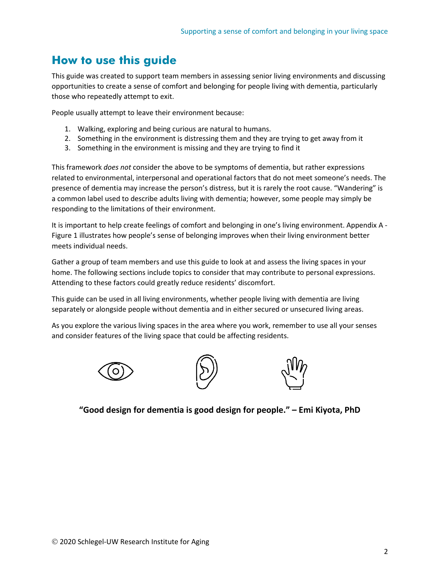# <span id="page-2-0"></span>**How to use this guide**

This guide was created to support team members in assessing senior living environments and discussing opportunities to create a sense of comfort and belonging for people living with dementia, particularly those who repeatedly attempt to exit.

People usually attempt to leave their environment because:

- 1. Walking, exploring and being curious are natural to humans.
- 2. Something in the environment is distressing them and they are trying to get away from it
- 3. Something in the environment is missing and they are trying to find it

This framework *does not* consider the above to be symptoms of dementia, but rather expressions related to environmental, interpersonal and operational factors that do not meet someone's needs. The presence of dementia may increase the person's distress, but it is rarely the root cause. "Wandering" is a common label used to describe adults living with dementia; however, some people may simply be responding to the limitations of their environment.

It is important to help create feelings of comfort and belonging in one's living environment. Appendix A -Figure 1 illustrates how people's sense of belonging improves when their living environment better meets individual needs.

Gather a group of team members and use this guide to look at and assess the living spaces in your home. The following sections include topics to consider that may contribute to personal expressions. Attending to these factors could greatly reduce residents' discomfort.

This guide can be used in all living environments, whether people living with dementia are living separately or alongside people without dementia and in either secured or unsecured living areas.

As you explore the various living spaces in the area where you work, remember to use all your senses and consider features of the living space that could be affecting residents.







**"Good design for dementia is good design for people." – Emi Kiyota, PhD**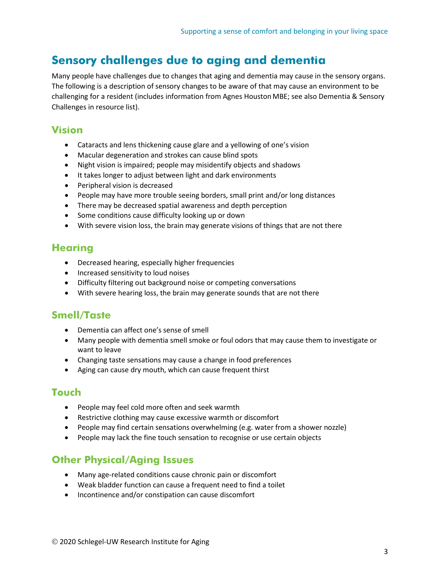# <span id="page-3-0"></span>**Sensory challenges due to aging and dementia**

Many people have challenges due to changes that aging and dementia may cause in the sensory organs. The following is a description of sensory changes to be aware of that may cause an environment to be challenging for a resident (includes information from Agnes HoustonMBE; see also Dementia & Sensory Challenges in resource list).

### **Vision**

- Cataracts and lens thickening cause glare and a yellowing of one's vision
- Macular degeneration and strokes can cause blind spots
- Night vision is impaired; people may misidentify objects and shadows
- It takes longer to adjust between light and dark environments
- Peripheral vision is decreased
- People may have more trouble seeing borders, small print and/or long distances
- There may be decreased spatial awareness and depth perception
- Some conditions cause difficulty looking up or down
- With severe vision loss, the brain may generate visions of things that are not there

### **Hearing**

- Decreased hearing, especially higher frequencies
- Increased sensitivity to loud noises
- Difficulty filtering out background noise or competing conversations
- With severe hearing loss, the brain may generate sounds that are not there

### **Smell/Taste**

- Dementia can affect one's sense of smell
- Many people with dementia smell smoke or foul odors that may cause them to investigate or want to leave
- Changing taste sensations may cause a change in food preferences
- Aging can cause dry mouth, which can cause frequent thirst

### **Touch**

- People may feel cold more often and seek warmth
- Restrictive clothing may cause excessive warmth or discomfort
- People may find certain sensations overwhelming (e.g. water from a shower nozzle)
- People may lack the fine touch sensation to recognise or use certain objects

# **Other Physical/Aging Issues**

- Many age-related conditions cause chronic pain or discomfort
- Weak bladder function can cause a frequent need to find a toilet
- Incontinence and/or constipation can cause discomfort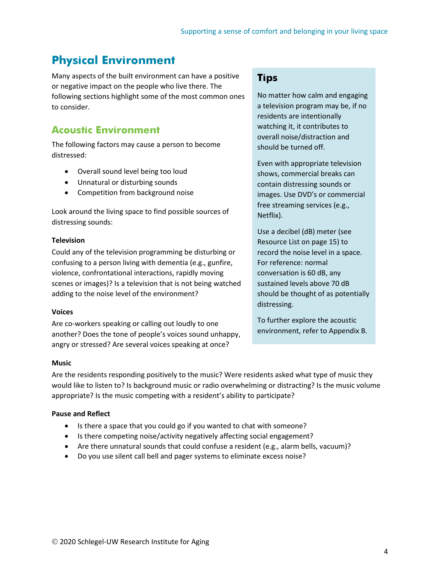# <span id="page-4-0"></span>**Physical Environment**

Many aspects of the built environment can have a positive or negative impact on the people who live there. The following sections highlight some of the most common ones to consider.

# **Acoustic Environment**

The following factors may cause a person to become distressed:

- Overall sound level being too loud
- Unnatural or disturbing sounds
- Competition from background noise

Look around the living space to find possible sources of distressing sounds:

### **Television**

Could any of the television programming be disturbing or confusing to a person living with dementia (e.g., gunfire, violence, confrontational interactions, rapidly moving scenes or images)? Is a television that is not being watched adding to the noise level of the environment?

### **Voices**

Are co-workers speaking or calling out loudly to one another? Does the tone of people's voices sound unhappy, angry or stressed? Are several voices speaking at once?

### **Tips**

No matter how calm and engaging a television program may be, if no residents are intentionally watching it, it contributes to overall noise/distraction and should be turned off.

Even with appropriate television shows, commercial breaks can contain distressing sounds or images. Use DVD's or commercial free streaming services (e.g., Netflix).

Use a decibel (dB) meter (see Resource List on page 15) to record the noise level in a space. For reference: normal conversation is 60 dB, any sustained levels above 70 dB should be thought of as potentially distressing.

To further explore the acoustic environment, refer to Appendix B.

### **Music**

Are the residents responding positively to the music? Were residents asked what type of music they would like to listen to? Is background music or radio overwhelming or distracting? Is the music volume appropriate? Is the music competing with a resident's ability to participate?

### **Pause and Reflect**

- Is there a space that you could go if you wanted to chat with someone?
- Is there competing noise/activity negatively affecting social engagement?
- Are there unnatural sounds that could confuse a resident (e.g., alarm bells, vacuum)?
- Do you use silent call bell and pager systems to eliminate excess noise?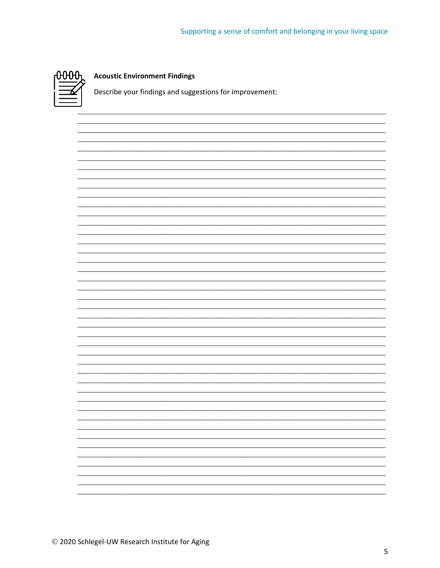

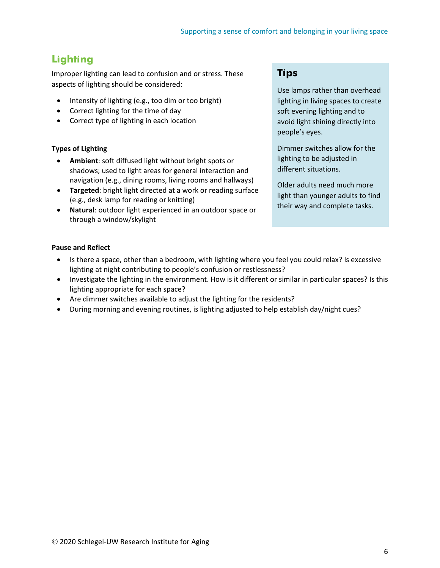# **Lighting**

Improper lighting can lead to confusion and or stress. These aspects of lighting should be considered:

- Intensity of lighting (e.g., too dim or too bright)
- Correct lighting for the time of day
- Correct type of lighting in each location

### **Types of Lighting**

- **Ambient**: soft diffused light without bright spots or shadows; used to light areas for general interaction and navigation (e.g., dining rooms, living rooms and hallways)
- **Targeted**: bright light directed at a work or reading surface (e.g., desk lamp for reading or knitting)
- **Natural**: outdoor light experienced in an outdoor space or through a window/skylight

### **Tips**

Use lamps rather than overhead lighting in living spaces to create soft evening lighting and to avoid light shining directly into people's eyes.

Dimmer switches allow for the lighting to be adjusted in different situations.

Older adults need much more light than younger adults to find their way and complete tasks.

### **Pause and Reflect**

- Is there a space, other than a bedroom, with lighting where you feel you could relax? Is excessive lighting at night contributing to people's confusion or restlessness?
- Investigate the lighting in the environment. How is it different or similar in particular spaces? Is this lighting appropriate for each space?
- Are dimmer switches available to adjust the lighting for the residents?
- During morning and evening routines, is lighting adjusted to help establish day/night cues?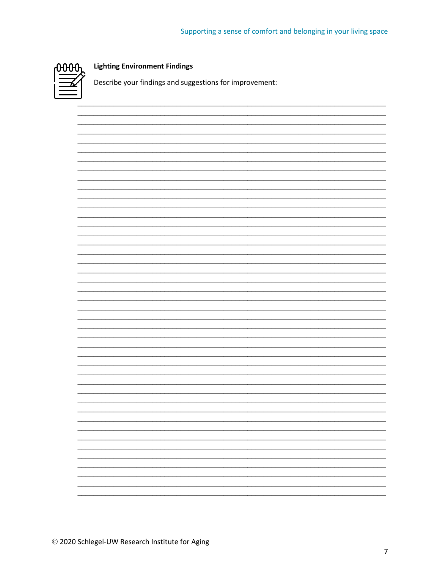

### **Lighting Environment Findings**

Describe your findings and suggestions for improvement:

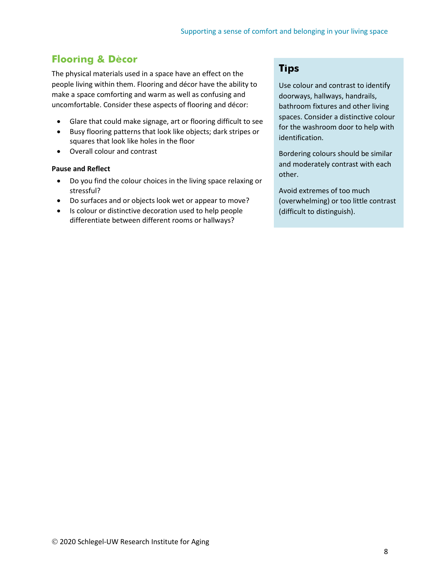# **Flooring & Dècor**

The physical materials used in a space have an effect on the people living within them. Flooring and décor have the ability to make a space comforting and warm as well as confusing and uncomfortable. Consider these aspects of flooring and décor:

- Glare that could make signage, art or flooring difficult to see
- Busy flooring patterns that look like objects; dark stripes or squares that look like holes in the floor
- Overall colour and contrast

#### **Pause and Reflect**

- Do you find the colour choices in the living space relaxing or stressful?
- Do surfaces and or objects look wet or appear to move?
- Is colour or distinctive decoration used to help people differentiate between different rooms or hallways?

### **Tips**

Use colour and contrast to identify doorways, hallways, handrails, bathroom fixtures and other living spaces. Consider a distinctive colour for the washroom door to help with identification.

Bordering colours should be similar and moderately contrast with each other.

Avoid extremes of too much (overwhelming) or too little contrast (difficult to distinguish).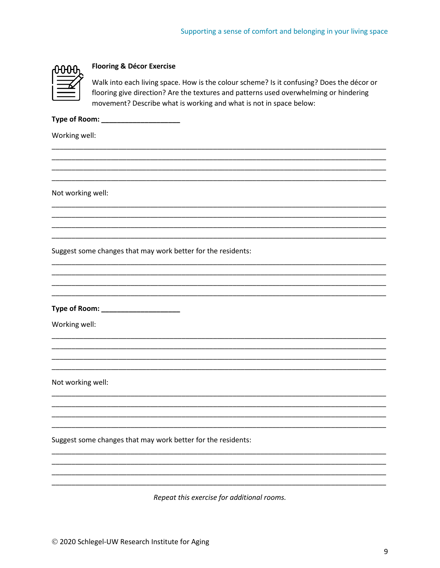### **Flooring & Décor Exercise**

Walk into each living space. How is the colour scheme? Is it confusing? Does the décor or flooring give direction? Are the textures and patterns used overwhelming or hindering movement? Describe what is working and what is not in space below:

Type of Room: New York Changes and Type of Room:

Working well:

Not working well:

Suggest some changes that may work better for the residents:

Type of Room: \_\_\_\_\_\_\_\_\_\_\_\_\_\_\_\_\_\_\_\_\_\_\_

Working well:

Not working well:

Suggest some changes that may work better for the residents:

Repeat this exercise for additional rooms.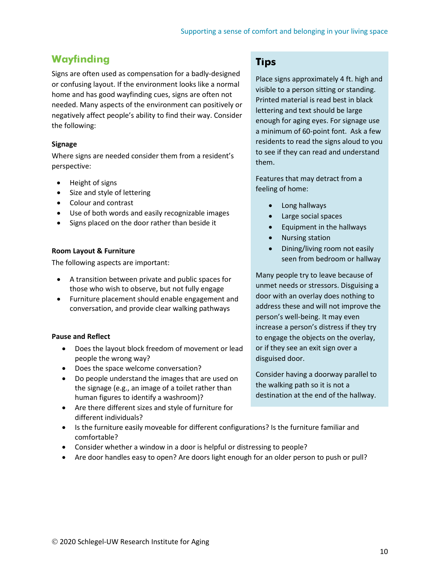# **Wayfinding**

Signs are often used as compensation for a badly-designed or confusing layout. If the environment looks like a normal home and has good wayfinding cues, signs are often not needed. Many aspects of the environment can positively or negatively affect people's ability to find their way. Consider the following:

### **Signage**

Where signs are needed consider them from a resident's perspective:

- Height of signs
- Size and style of lettering
- Colour and contrast
- Use of both words and easily recognizable images
- Signs placed on the door rather than beside it

#### **Room Layout & Furniture**

The following aspects are important:

- A transition between private and public spaces for those who wish to observe, but not fully engage
- Furniture placement should enable engagement and conversation, and provide clear walking pathways

#### **Pause and Reflect**

- Does the layout block freedom of movement or lead people the wrong way?
- Does the space welcome conversation?
- Do people understand the images that are used on the signage (e.g., an image of a toilet rather than human figures to identify a washroom)?
- Are there different sizes and style of furniture for different individuals?
- Is the furniture easily moveable for different configurations? Is the furniture familiar and comfortable?
- Consider whether a window in a door is helpful or distressing to people?
- Are door handles easy to open? Are doors light enough for an older person to push or pull?

### **Tips**

Place signs approximately 4 ft. high and visible to a person sitting or standing. Printed material is read best in black lettering and text should be large enough for aging eyes. For signage use a minimum of 60-point font. Ask a few residents to read the signs aloud to you to see if they can read and understand them.

Features that may detract from a feeling of home:

- Long hallways
- Large social spaces
- Equipment in the hallways
- Nursing station
- Dining/living room not easily seen from bedroom or hallway

Many people try to leave because of unmet needs or stressors. Disguising a door with an overlay does nothing to address these and will not improve the person's well-being. It may even increase a person's distress if they try to engage the objects on the overlay, or if they see an exit sign over a disguised door.

Consider having a doorway parallel to the walking path so it is not a destination at the end of the hallway.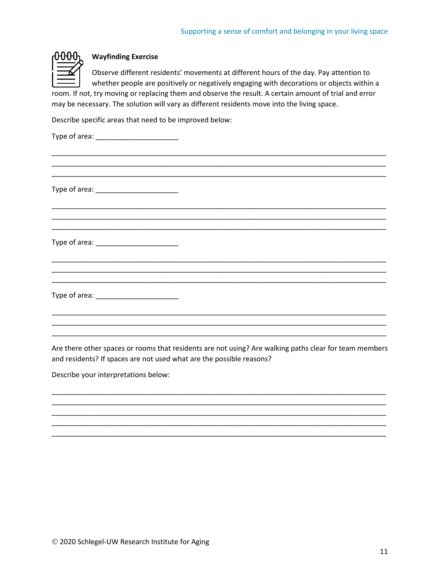

### **Wayfinding Exercise**

Observe different residents' movements at different hours of the day. Pay attention to whether people are positively or negatively engaging with decorations or objects within a room. If not, try moving or replacing them and observe the result. A certain amount of trial and error may be necessary. The solution will vary as different residents move into the living space.

Describe specific areas that need to be improved below:

Are there other spaces or rooms that residents are not using? Are walking paths clear for team members and residents? If spaces are not used what are the possible reasons?

\_\_\_\_\_\_\_\_\_\_\_\_\_\_\_\_\_\_\_\_\_\_\_\_\_\_\_\_\_\_\_\_\_\_\_\_\_\_\_\_\_\_\_\_\_\_\_\_\_\_\_\_\_\_\_\_\_\_\_\_\_\_\_\_\_\_\_\_\_\_\_\_\_\_\_\_\_\_\_\_\_\_\_\_\_ \_\_\_\_\_\_\_\_\_\_\_\_\_\_\_\_\_\_\_\_\_\_\_\_\_\_\_\_\_\_\_\_\_\_\_\_\_\_\_\_\_\_\_\_\_\_\_\_\_\_\_\_\_\_\_\_\_\_\_\_\_\_\_\_\_\_\_\_\_\_\_\_\_\_\_\_\_\_\_\_\_\_\_\_\_ \_\_\_\_\_\_\_\_\_\_\_\_\_\_\_\_\_\_\_\_\_\_\_\_\_\_\_\_\_\_\_\_\_\_\_\_\_\_\_\_\_\_\_\_\_\_\_\_\_\_\_\_\_\_\_\_\_\_\_\_\_\_\_\_\_\_\_\_\_\_\_\_\_\_\_\_\_\_\_\_\_\_\_\_\_ \_\_\_\_\_\_\_\_\_\_\_\_\_\_\_\_\_\_\_\_\_\_\_\_\_\_\_\_\_\_\_\_\_\_\_\_\_\_\_\_\_\_\_\_\_\_\_\_\_\_\_\_\_\_\_\_\_\_\_\_\_\_\_\_\_\_\_\_\_\_\_\_\_\_\_\_\_\_\_\_\_\_\_\_\_ \_\_\_\_\_\_\_\_\_\_\_\_\_\_\_\_\_\_\_\_\_\_\_\_\_\_\_\_\_\_\_\_\_\_\_\_\_\_\_\_\_\_\_\_\_\_\_\_\_\_\_\_\_\_\_\_\_\_\_\_\_\_\_\_\_\_\_\_\_\_\_\_\_\_\_\_\_\_\_\_\_\_\_\_\_

Describe your interpretations below: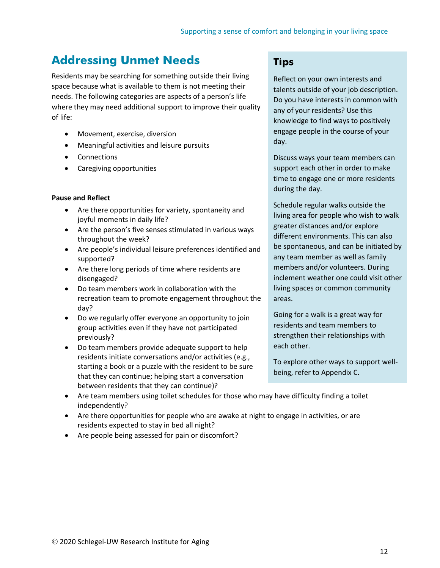# <span id="page-12-0"></span>**Addressing Unmet Needs**

Residents may be searching for something outside their living space because what is available to them is not meeting their needs. The following categories are aspects of a person's life where they may need additional support to improve their quality of life:

- Movement, exercise, diversion
- Meaningful activities and leisure pursuits
- Connections
- Caregiving opportunities

#### **Pause and Reflect**

- Are there opportunities for variety, spontaneity and joyful moments in daily life?
- Are the person's five senses stimulated in various ways throughout the week?
- Are people's individual leisure preferences identified and supported?
- Are there long periods of time where residents are disengaged?
- Do team members work in collaboration with the recreation team to promote engagement throughout the day?
- Do we regularly offer everyone an opportunity to join group activities even if they have not participated previously?
- Do team members provide adequate support to help residents initiate conversations and/or activities (e.g., starting a book or a puzzle with the resident to be sure that they can continue; helping start a conversation between residents that they can continue)?

### **Tips**

Reflect on your own interests and talents outside of your job description. Do you have interests in common with any of your residents? Use this knowledge to find ways to positively engage people in the course of your day.

Discuss ways your team members can support each other in order to make time to engage one or more residents during the day.

Schedule regular walks outside the living area for people who wish to walk greater distances and/or explore different environments. This can also be spontaneous, and can be initiated by any team member as well as family members and/or volunteers. During inclement weather one could visit other living spaces or common community areas.

Going for a walk is a great way for residents and team members to strengthen their relationships with each other.

To explore other ways to support wellbeing, refer to Appendix C.

- Are team members using toilet schedules for those who may have difficulty finding a toilet independently?
- Are there opportunities for people who are awake at night to engage in activities, or are residents expected to stay in bed all night?
- Are people being assessed for pain or discomfort?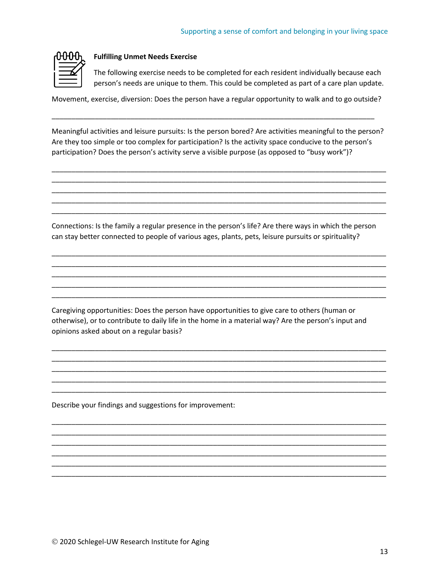

#### **Fulfilling Unmet Needs Exercise**

The following exercise needs to be completed for each resident individually because each person's needs are unique to them. This could be completed as part of a care plan update.

Movement, exercise, diversion: Does the person have a regular opportunity to walk and to go outside?

\_\_\_\_\_\_\_\_\_\_\_\_\_\_\_\_\_\_\_\_\_\_\_\_\_\_\_\_\_\_\_\_\_\_\_\_\_\_\_\_\_\_\_\_\_\_\_\_\_\_\_\_\_\_\_\_\_\_\_\_\_\_\_\_\_\_\_\_\_\_\_\_\_\_\_\_\_\_\_\_\_\_

Meaningful activities and leisure pursuits: Is the person bored? Are activities meaningful to the person? Are they too simple or too complex for participation? Is the activity space conducive to the person's participation? Does the person's activity serve a visible purpose (as opposed to "busy work")?

\_\_\_\_\_\_\_\_\_\_\_\_\_\_\_\_\_\_\_\_\_\_\_\_\_\_\_\_\_\_\_\_\_\_\_\_\_\_\_\_\_\_\_\_\_\_\_\_\_\_\_\_\_\_\_\_\_\_\_\_\_\_\_\_\_\_\_\_\_\_\_\_\_\_\_\_\_\_\_\_\_\_\_\_\_ \_\_\_\_\_\_\_\_\_\_\_\_\_\_\_\_\_\_\_\_\_\_\_\_\_\_\_\_\_\_\_\_\_\_\_\_\_\_\_\_\_\_\_\_\_\_\_\_\_\_\_\_\_\_\_\_\_\_\_\_\_\_\_\_\_\_\_\_\_\_\_\_\_\_\_\_\_\_\_\_\_\_\_\_\_ \_\_\_\_\_\_\_\_\_\_\_\_\_\_\_\_\_\_\_\_\_\_\_\_\_\_\_\_\_\_\_\_\_\_\_\_\_\_\_\_\_\_\_\_\_\_\_\_\_\_\_\_\_\_\_\_\_\_\_\_\_\_\_\_\_\_\_\_\_\_\_\_\_\_\_\_\_\_\_\_\_\_\_\_\_ \_\_\_\_\_\_\_\_\_\_\_\_\_\_\_\_\_\_\_\_\_\_\_\_\_\_\_\_\_\_\_\_\_\_\_\_\_\_\_\_\_\_\_\_\_\_\_\_\_\_\_\_\_\_\_\_\_\_\_\_\_\_\_\_\_\_\_\_\_\_\_\_\_\_\_\_\_\_\_\_\_\_\_\_\_ \_\_\_\_\_\_\_\_\_\_\_\_\_\_\_\_\_\_\_\_\_\_\_\_\_\_\_\_\_\_\_\_\_\_\_\_\_\_\_\_\_\_\_\_\_\_\_\_\_\_\_\_\_\_\_\_\_\_\_\_\_\_\_\_\_\_\_\_\_\_\_\_\_\_\_\_\_\_\_\_\_\_\_\_\_

Connections: Is the family a regular presence in the person's life? Are there ways in which the person can stay better connected to people of various ages, plants, pets, leisure pursuits or spirituality?

\_\_\_\_\_\_\_\_\_\_\_\_\_\_\_\_\_\_\_\_\_\_\_\_\_\_\_\_\_\_\_\_\_\_\_\_\_\_\_\_\_\_\_\_\_\_\_\_\_\_\_\_\_\_\_\_\_\_\_\_\_\_\_\_\_\_\_\_\_\_\_\_\_\_\_\_\_\_\_\_\_\_\_\_\_ \_\_\_\_\_\_\_\_\_\_\_\_\_\_\_\_\_\_\_\_\_\_\_\_\_\_\_\_\_\_\_\_\_\_\_\_\_\_\_\_\_\_\_\_\_\_\_\_\_\_\_\_\_\_\_\_\_\_\_\_\_\_\_\_\_\_\_\_\_\_\_\_\_\_\_\_\_\_\_\_\_\_\_\_\_ \_\_\_\_\_\_\_\_\_\_\_\_\_\_\_\_\_\_\_\_\_\_\_\_\_\_\_\_\_\_\_\_\_\_\_\_\_\_\_\_\_\_\_\_\_\_\_\_\_\_\_\_\_\_\_\_\_\_\_\_\_\_\_\_\_\_\_\_\_\_\_\_\_\_\_\_\_\_\_\_\_\_\_\_\_ \_\_\_\_\_\_\_\_\_\_\_\_\_\_\_\_\_\_\_\_\_\_\_\_\_\_\_\_\_\_\_\_\_\_\_\_\_\_\_\_\_\_\_\_\_\_\_\_\_\_\_\_\_\_\_\_\_\_\_\_\_\_\_\_\_\_\_\_\_\_\_\_\_\_\_\_\_\_\_\_\_\_\_\_\_ \_\_\_\_\_\_\_\_\_\_\_\_\_\_\_\_\_\_\_\_\_\_\_\_\_\_\_\_\_\_\_\_\_\_\_\_\_\_\_\_\_\_\_\_\_\_\_\_\_\_\_\_\_\_\_\_\_\_\_\_\_\_\_\_\_\_\_\_\_\_\_\_\_\_\_\_\_\_\_\_\_\_\_\_\_

Caregiving opportunities: Does the person have opportunities to give care to others (human or otherwise), or to contribute to daily life in the home in a material way? Are the person's input and opinions asked about on a regular basis?

\_\_\_\_\_\_\_\_\_\_\_\_\_\_\_\_\_\_\_\_\_\_\_\_\_\_\_\_\_\_\_\_\_\_\_\_\_\_\_\_\_\_\_\_\_\_\_\_\_\_\_\_\_\_\_\_\_\_\_\_\_\_\_\_\_\_\_\_\_\_\_\_\_\_\_\_\_\_\_\_\_\_\_\_\_ \_\_\_\_\_\_\_\_\_\_\_\_\_\_\_\_\_\_\_\_\_\_\_\_\_\_\_\_\_\_\_\_\_\_\_\_\_\_\_\_\_\_\_\_\_\_\_\_\_\_\_\_\_\_\_\_\_\_\_\_\_\_\_\_\_\_\_\_\_\_\_\_\_\_\_\_\_\_\_\_\_\_\_\_\_ \_\_\_\_\_\_\_\_\_\_\_\_\_\_\_\_\_\_\_\_\_\_\_\_\_\_\_\_\_\_\_\_\_\_\_\_\_\_\_\_\_\_\_\_\_\_\_\_\_\_\_\_\_\_\_\_\_\_\_\_\_\_\_\_\_\_\_\_\_\_\_\_\_\_\_\_\_\_\_\_\_\_\_\_\_ \_\_\_\_\_\_\_\_\_\_\_\_\_\_\_\_\_\_\_\_\_\_\_\_\_\_\_\_\_\_\_\_\_\_\_\_\_\_\_\_\_\_\_\_\_\_\_\_\_\_\_\_\_\_\_\_\_\_\_\_\_\_\_\_\_\_\_\_\_\_\_\_\_\_\_\_\_\_\_\_\_\_\_\_\_ \_\_\_\_\_\_\_\_\_\_\_\_\_\_\_\_\_\_\_\_\_\_\_\_\_\_\_\_\_\_\_\_\_\_\_\_\_\_\_\_\_\_\_\_\_\_\_\_\_\_\_\_\_\_\_\_\_\_\_\_\_\_\_\_\_\_\_\_\_\_\_\_\_\_\_\_\_\_\_\_\_\_\_\_\_

\_\_\_\_\_\_\_\_\_\_\_\_\_\_\_\_\_\_\_\_\_\_\_\_\_\_\_\_\_\_\_\_\_\_\_\_\_\_\_\_\_\_\_\_\_\_\_\_\_\_\_\_\_\_\_\_\_\_\_\_\_\_\_\_\_\_\_\_\_\_\_\_\_\_\_\_\_\_\_\_\_\_\_\_\_ \_\_\_\_\_\_\_\_\_\_\_\_\_\_\_\_\_\_\_\_\_\_\_\_\_\_\_\_\_\_\_\_\_\_\_\_\_\_\_\_\_\_\_\_\_\_\_\_\_\_\_\_\_\_\_\_\_\_\_\_\_\_\_\_\_\_\_\_\_\_\_\_\_\_\_\_\_\_\_\_\_\_\_\_\_ \_\_\_\_\_\_\_\_\_\_\_\_\_\_\_\_\_\_\_\_\_\_\_\_\_\_\_\_\_\_\_\_\_\_\_\_\_\_\_\_\_\_\_\_\_\_\_\_\_\_\_\_\_\_\_\_\_\_\_\_\_\_\_\_\_\_\_\_\_\_\_\_\_\_\_\_\_\_\_\_\_\_\_\_\_ \_\_\_\_\_\_\_\_\_\_\_\_\_\_\_\_\_\_\_\_\_\_\_\_\_\_\_\_\_\_\_\_\_\_\_\_\_\_\_\_\_\_\_\_\_\_\_\_\_\_\_\_\_\_\_\_\_\_\_\_\_\_\_\_\_\_\_\_\_\_\_\_\_\_\_\_\_\_\_\_\_\_\_\_\_ \_\_\_\_\_\_\_\_\_\_\_\_\_\_\_\_\_\_\_\_\_\_\_\_\_\_\_\_\_\_\_\_\_\_\_\_\_\_\_\_\_\_\_\_\_\_\_\_\_\_\_\_\_\_\_\_\_\_\_\_\_\_\_\_\_\_\_\_\_\_\_\_\_\_\_\_\_\_\_\_\_\_\_\_\_ \_\_\_\_\_\_\_\_\_\_\_\_\_\_\_\_\_\_\_\_\_\_\_\_\_\_\_\_\_\_\_\_\_\_\_\_\_\_\_\_\_\_\_\_\_\_\_\_\_\_\_\_\_\_\_\_\_\_\_\_\_\_\_\_\_\_\_\_\_\_\_\_\_\_\_\_\_\_\_\_\_\_\_\_\_

Describe your findings and suggestions for improvement: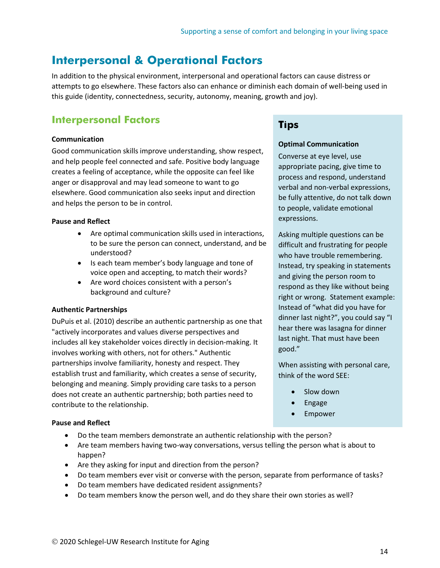# <span id="page-14-0"></span>**Interpersonal & Operational Factors**

In addition to the physical environment, interpersonal and operational factors can cause distress or attempts to go elsewhere. These factors also can enhance or diminish each domain of well-being used in this guide (identity, connectedness, security, autonomy, meaning, growth and joy).

### **Interpersonal Factors**

#### **Communication**

Good communication skills improve understanding, show respect, and help people feel connected and safe. Positive body language creates a feeling of acceptance, while the opposite can feel like anger or disapproval and may lead someone to want to go elsewhere. Good communication also seeks input and direction and helps the person to be in control.

#### **Pause and Reflect**

- Are optimal communication skills used in interactions, to be sure the person can connect, understand, and be understood?
- Is each team member's body language and tone of voice open and accepting, to match their words?
- Are word choices consistent with a person's background and culture?

### **Authentic Partnerships**

DuPuis et al. (2010) describe an authentic partnership as one that "actively incorporates and values diverse perspectives and includes all key stakeholder voices directly in decision-making. It involves working with others, not for others." Authentic partnerships involve familiarity, honesty and respect. They establish trust and familiarity, which creates a sense of security, belonging and meaning. Simply providing care tasks to a person does not create an authentic partnership; both parties need to contribute to the relationship.

# **Tips**

#### **Optimal Communication**

Converse at eye level, use appropriate pacing, give time to process and respond, understand verbal and non-verbal expressions, be fully attentive, do not talk down to people, validate emotional expressions.

Asking multiple questions can be difficult and frustrating for people who have trouble remembering. Instead, try speaking in statements and giving the person room to respond as they like without being right or wrong. Statement example: Instead of "what did you have for dinner last night?", you could say "I hear there was lasagna for dinner last night. That must have been good."

When assisting with personal care, think of the word SEE:

- Slow down
- Engage
- **Empower**

#### **Pause and Reflect**

- Do the team members demonstrate an authentic relationship with the person?
- Are team members having two-way conversations, versus telling the person what is about to happen?
- Are they asking for input and direction from the person?
- Do team members ever visit or converse with the person, separate from performance of tasks?
- Do team members have dedicated resident assignments?
- Do team members know the person well, and do they share their own stories as well?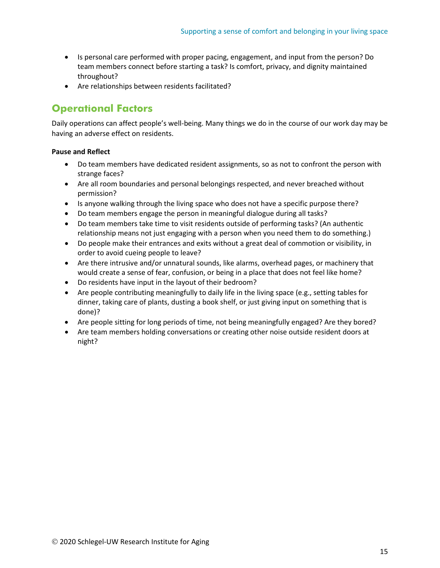- Is personal care performed with proper pacing, engagement, and input from the person? Do team members connect before starting a task? Is comfort, privacy, and dignity maintained throughout?
- Are relationships between residents facilitated?

# **Operational Factors**

Daily operations can affect people's well-being. Many things we do in the course of our work day may be having an adverse effect on residents.

### **Pause and Reflect**

- Do team members have dedicated resident assignments, so as not to confront the person with strange faces?
- Are all room boundaries and personal belongings respected, and never breached without permission?
- Is anyone walking through the living space who does not have a specific purpose there?
- Do team members engage the person in meaningful dialogue during all tasks?
- Do team members take time to visit residents outside of performing tasks? (An authentic relationship means not just engaging with a person when you need them to do something.)
- Do people make their entrances and exits without a great deal of commotion or visibility, in order to avoid cueing people to leave?
- Are there intrusive and/or unnatural sounds, like alarms, overhead pages, or machinery that would create a sense of fear, confusion, or being in a place that does not feel like home?
- Do residents have input in the layout of their bedroom?
- Are people contributing meaningfully to daily life in the living space (e.g., setting tables for dinner, taking care of plants, dusting a book shelf, or just giving input on something that is done)?
- Are people sitting for long periods of time, not being meaningfully engaged? Are they bored?
- Are team members holding conversations or creating other noise outside resident doors at night?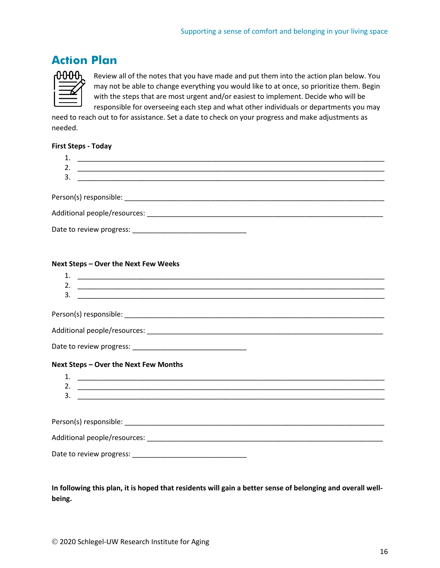# <span id="page-16-0"></span>**Action Plan**



Review all of the notes that you have made and put them into the action plan below. You may not be able to change everything you would like to at once, so prioritize them. Begin with the steps that are most urgent and/or easiest to implement. Decide who will be responsible for overseeing each step and what other individuals or departments you may

need to reach out to for assistance. Set a date to check on your progress and make adjustments as needed.

### **First Steps - Today**

| 2. |  |
|----|--|
|    |  |
|    |  |
|    |  |
|    |  |
|    |  |

#### **Next Steps – Over the Next Few Weeks**

| 1. |                                       |  |
|----|---------------------------------------|--|
| 2. |                                       |  |
| 3. |                                       |  |
|    |                                       |  |
|    |                                       |  |
|    |                                       |  |
|    |                                       |  |
|    | Next Steps - Over the Next Few Months |  |
|    |                                       |  |
|    |                                       |  |
| 3. |                                       |  |
|    |                                       |  |
|    |                                       |  |
|    |                                       |  |
|    |                                       |  |
|    |                                       |  |

**In following this plan, it is hoped that residents will gain a better sense of belonging and overall wellbeing.**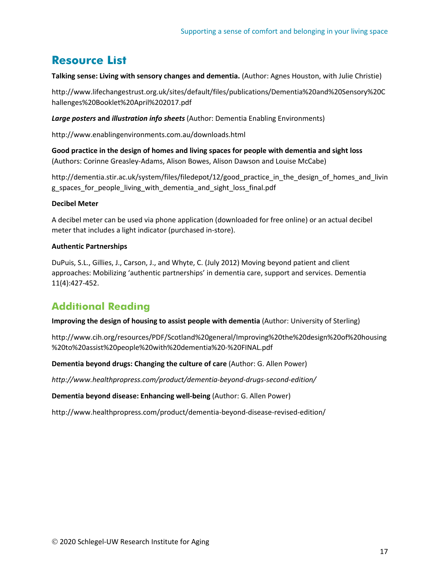# <span id="page-17-0"></span>**Resource List**

**Talking sense: Living with sensory changes and dementia.** (Author: Agnes Houston, with Julie Christie)

http://www.lifechangestrust.org.uk/sites/default/files/publications/Dementia%20and%20Sensory%20C hallenges%20Booklet%20April%202017.pdf

*Large posters* **and** *illustration info sheets* (Author: Dementia Enabling Environments)

http://www.enablingenvironments.com.au/downloads.html

**Good practice in the design of homes and living spaces for people with dementia and sight loss**  (Authors: Corinne Greasley-Adams, Alison Bowes, Alison Dawson and Louise McCabe)

http://dementia.stir.ac.uk/system/files/filedepot/12/good practice in the design of homes and livin g\_spaces\_for\_people\_living\_with\_dementia\_and\_sight\_loss\_final.pdf

### **Decibel Meter**

A decibel meter can be used via phone application (downloaded for free online) or an actual decibel meter that includes a light indicator (purchased in-store).

### **Authentic Partnerships**

DuPuis, S.L., Gillies, J., Carson, J., and Whyte, C. (July 2012) Moving beyond patient and client approaches: Mobilizing 'authentic partnerships' in dementia care, support and services. Dementia 11(4):427-452.

# **Additional Reading**

**Improving the design of housing to assist people with dementia** (Author: University of Sterling)

http://www.cih.org/resources/PDF/Scotland%20general/Improving%20the%20design%20of%20housing %20to%20assist%20people%20with%20dementia%20-%20FINAL.pdf

**Dementia beyond drugs: Changing the culture of care** (Author: G. Allen Power)

*http://www.healthpropress.com/product/dementia-beyond-drugs-second-edition/*

**Dementia beyond disease: Enhancing well-being** (Author: G. Allen Power)

http://www.healthpropress.com/product/dementia-beyond-disease-revised-edition/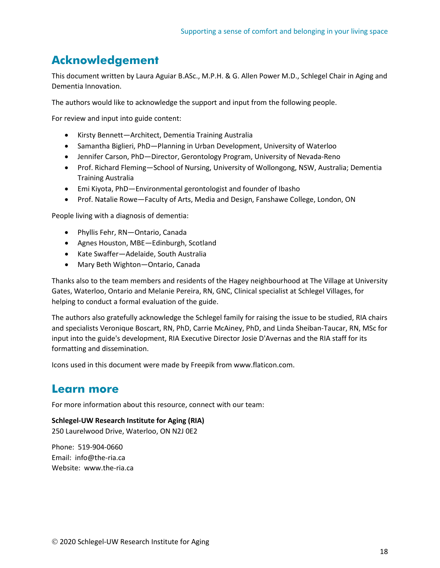# <span id="page-18-0"></span>**Acknowledgement**

This document written by Laura Aguiar B.ASc., M.P.H. & G. Allen Power M.D., Schlegel Chair in Aging and Dementia Innovation.

The authors would like to acknowledge the support and input from the following people.

For review and input into guide content:

- Kirsty Bennett—Architect, Dementia Training Australia
- Samantha Biglieri, PhD—Planning in Urban Development, University of Waterloo
- Jennifer Carson, PhD—Director, Gerontology Program, University of Nevada-Reno
- Prof. Richard Fleming—School of Nursing, University of Wollongong, NSW, Australia; Dementia Training Australia
- Emi Kiyota, PhD—Environmental gerontologist and founder of Ibasho
- Prof. Natalie Rowe—Faculty of Arts, Media and Design, Fanshawe College, London, ON

People living with a diagnosis of dementia:

- Phyllis Fehr, RN—Ontario, Canada
- Agnes Houston, MBE—Edinburgh, Scotland
- Kate Swaffer—Adelaide, South Australia
- Mary Beth Wighton—Ontario, Canada

Thanks also to the team members and residents of the Hagey neighbourhood at The Village at University Gates, Waterloo, Ontario and Melanie Pereira, RN, GNC, Clinical specialist at Schlegel Villages, for helping to conduct a formal evaluation of the guide.

The authors also gratefully acknowledge the Schlegel family for raising the issue to be studied, RIA chairs and specialists Veronique Boscart, RN, PhD, Carrie McAiney, PhD, and Linda Sheiban-Taucar, RN, MSc for input into the guide's development, RIA Executive Director Josie D'Avernas and the RIA staff for its formatting and dissemination.

Icons used in this document were made by Freepik from www.flaticon.com.

### <span id="page-18-1"></span>**Learn more**

For more information about this resource, connect with our team:

**Schlegel-UW Research Institute for Aging (RIA)** 250 Laurelwood Drive, Waterloo, ON N2J 0E2

Phone: 519-904-0660 Email: info@the-ria.ca Website: www.the-ria.ca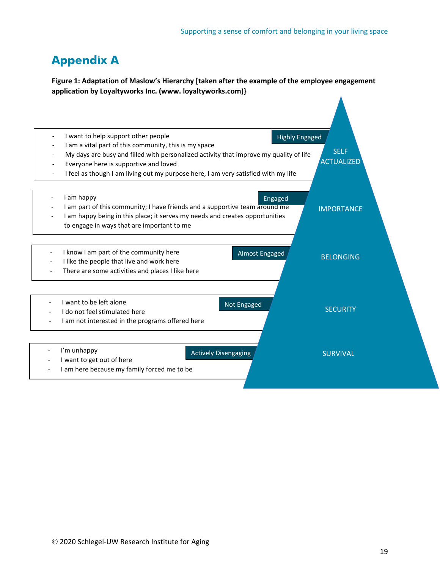# <span id="page-19-0"></span>**Appendix A**

**Figure 1: Adaptation of Maslow's Hierarchy [taken after the example of the employee engagement application by Loyaltyworks Inc. (www. loyaltyworks.com)}**

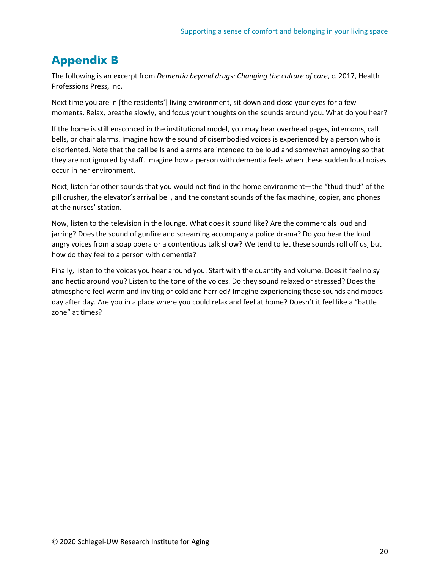# <span id="page-20-0"></span>**Appendix B**

The following is an excerpt from *Dementia beyond drugs: Changing the culture of care*, c. 2017, Health Professions Press, Inc.

Next time you are in [the residents'] living environment, sit down and close your eyes for a few moments. Relax, breathe slowly, and focus your thoughts on the sounds around you. What do you hear?

If the home is still ensconced in the institutional model, you may hear overhead pages, intercoms, call bells, or chair alarms. Imagine how the sound of disembodied voices is experienced by a person who is disoriented. Note that the call bells and alarms are intended to be loud and somewhat annoying so that they are not ignored by staff. Imagine how a person with dementia feels when these sudden loud noises occur in her environment.

Next, listen for other sounds that you would not find in the home environment—the "thud-thud" of the pill crusher, the elevator's arrival bell, and the constant sounds of the fax machine, copier, and phones at the nurses' station.

Now, listen to the television in the lounge. What does it sound like? Are the commercials loud and jarring? Does the sound of gunfire and screaming accompany a police drama? Do you hear the loud angry voices from a soap opera or a contentious talk show? We tend to let these sounds roll off us, but how do they feel to a person with dementia?

Finally, listen to the voices you hear around you. Start with the quantity and volume. Does it feel noisy and hectic around you? Listen to the tone of the voices. Do they sound relaxed or stressed? Does the atmosphere feel warm and inviting or cold and harried? Imagine experiencing these sounds and moods day after day. Are you in a place where you could relax and feel at home? Doesn't it feel like a "battle zone" at times?